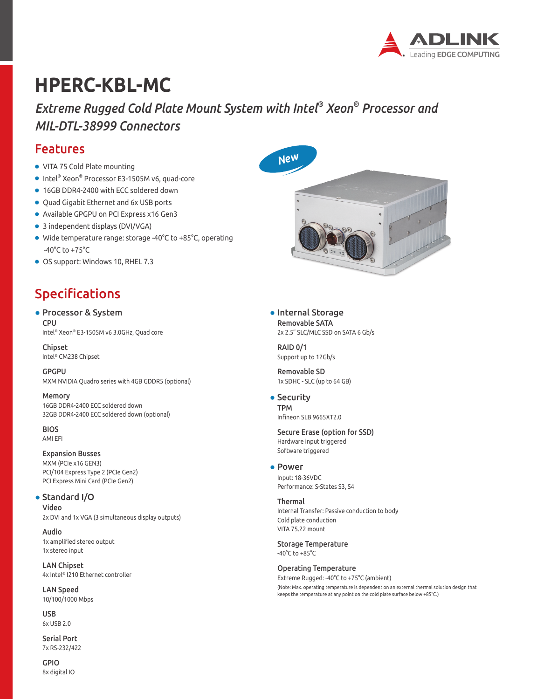

# **HPERC-KBL-MC**

*Extreme Rugged Cold Plate Mount System with Intel® Xeon® Processor and MIL-DTL-38999 Connectors*

### Features

- VITA 75 Cold Plate mounting
- Intel® Xeon® Processor E3-1505M v6, quad-core
- 16GB DDR4-2400 with ECC soldered down
- Quad Gigabit Ethernet and 6x USB ports
- Available GPGPU on PCI Express x16 Gen3
- 3 independent displays (DVI/VGA)
- Wide temperature range: storage -40°C to +85°C, operating -40°C to +75°C
- OS support: Windows 10, RHEL 7.3

# Specifications

### ● Processor & System

CPU Intel® Xeon® E3-1505M v6 3.0GHz, Quad core

Chipset Intel® CM238 Chipset

GPGPU MXM NVIDIA Quadro series with 4GB GDDR5 (optional)

Memory 16GB DDR4-2400 ECC soldered down 32GB DDR4-2400 ECC soldered down (optional)

BIOS AMI EFI

Expansion Busses MXM (PCIe x16 GEN3) PCI/104 Express Type 2 (PCIe Gen2) PCI Express Mini Card (PCIe Gen2)

### ● Standard I/O

Video 2x DVI and 1x VGA (3 simultaneous display outputs)

Audio 1x amplified stereo output 1x stereo input

LAN Chipset 4x Intel® I210 Ethernet controller

LAN Speed 10/100/1000 Mbps

USB 6x USB 2.0

Serial Port 7x RS-232/422

GPIO 8x digital IO





● Internal Storage Removable SATA 2x 2.5" SLC/MLC SSD on SATA 6 Gb/s

RAID 0/1 Support up to 12Gb/s

Removable SD 1x SDHC - SLC (up to 64 GB)

• Security TPM Infineon SLB 9665XT2.0

#### Secure Erase (option for SSD) Hardware input triggered Software triggered

● Power Input: 18-36VDC Performance: S-States S3, S4

Thermal Internal Transfer: Passive conduction to body Cold plate conduction VITA 75.22 mount

Storage Temperature -40°C to +85°C

Operating Temperature Extreme Rugged: -40°C to +75°C (ambient) (Note: Max. operating temperature is dependent on an external thermal solution design that keeps the temperature at any point on the cold plate surface below +85°C.)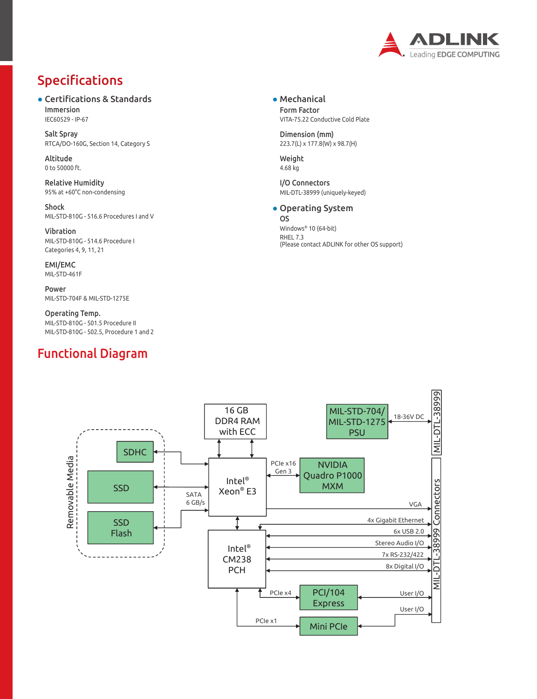

## Specifications

● Certifications & Standards Immersion IEC60529 - IP-67

Salt Spray RTCA/DO-160G, Section 14, Category S

Altitude 0 to 50000 ft.

Relative Humidity 95% at +60°C non-condensing

Shock MIL-STD-810G - 516.6 Procedures I and V

Vibration MIL-STD-810G - 514.6 Procedure I Categories 4, 9, 11, 21

EMI/EMC MIL-STD-461F

Power MIL-STD-704F & MIL-STD-1275E

Operating Temp. MIL-STD-810G - 501.5 Procedure II MIL-STD-810G - 502.5, Procedure 1 and 2

### Functional Diagram

● Mechanical Form Factor VITA-75.22 Conductive Cold Plate

Dimension (mm) 223.7(L) x 177.8(W) x 98.7(H)

Weight 4.68 kg

I/O Connectors MIL-DTL-38999 (uniquely-keyed)

#### ● Operating System

OS Windows® 10 (64-bit) RHEL 7.3 (Please contact ADLINK for other OS support)